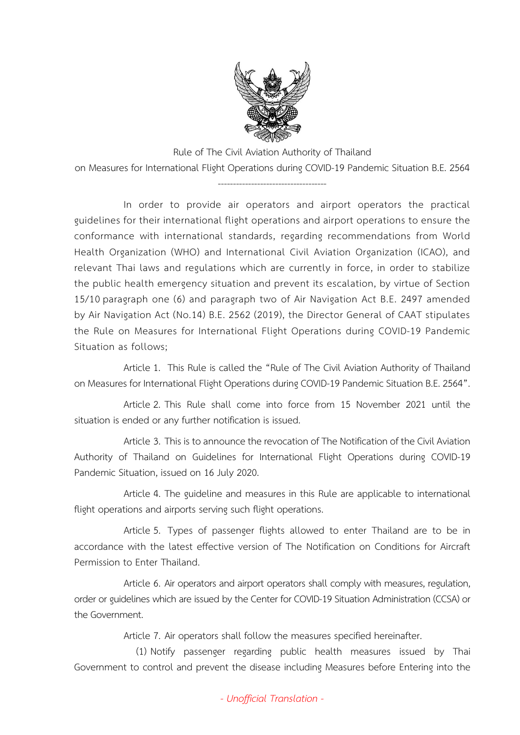

Rule of The Civil Aviation Authority of Thailand on Measures for International Flight Operations during COVID-19 Pandemic Situation B.E. 2564

------------------------------------

In order to provide air operators and airport operators the practical guidelines for their international flight operations and airport operations to ensure the conformance with international standards, regarding recommendations from World Health Organization (WHO) and International Civil Aviation Organization (ICAO), and relevant Thai laws and regulations which are currently in force, in order to stabilize the public health emergency situation and prevent its escalation, by virtue of Section 15/10 paragraph one (6) and paragraph two of Air Navigation Act B.E. 2497 amended by Air Navigation Act (No.14) B.E. 2562 (2019), the Director General of CAAT stipulates the Rule on Measures for International Flight Operations during COVID-19 Pandemic Situation as follows;

Article 1. This Rule is called the "Rule of The Civil Aviation Authority of Thailand on Measures for International Flight Operations during COVID-19 Pandemic Situation B.E. 2564".

Article 2. This Rule shall come into force from 15 November 2021 until the situation is ended or any further notification is issued.

Article 3. This is to announce the revocation of The Notification of the Civil Aviation Authority of Thailand on Guidelines for International Flight Operations during COVID-19 Pandemic Situation, issued on 16 July 2020.

Article 4. The guideline and measures in this Rule are applicable to international flight operations and airports serving such flight operations.

Article 5. Types of passenger flights allowed to enter Thailand are to be in accordance with the latest effective version of The Notification on Conditions for Aircraft Permission to Enter Thailand.

Article 6. Air operators and airport operators shall comply with measures, regulation, order or guidelines which are issued by the Center for COVID-19 Situation Administration (CCSA) or the Government.

Article 7. Air operators shall follow the measures specified hereinafter.

(1) Notify passenger regarding public health measures issued by Thai Government to control and prevent the disease including Measures before Entering into the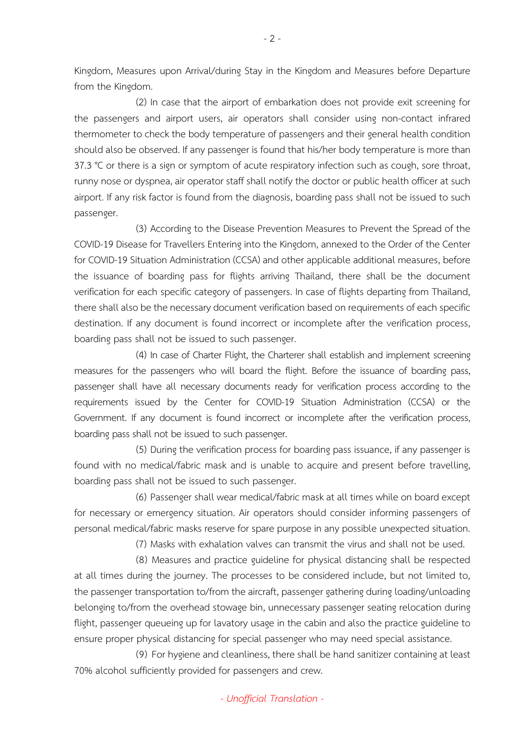Kingdom, Measures upon Arrival/during Stay in the Kingdom and Measures before Departure from the Kingdom.

(2) In case that the airport of embarkation does not provide exit screening for the passengers and airport users, air operators shall consider using non-contact infrared thermometer to check the body temperature of passengers and their general health condition should also be observed. If any passenger is found that his/her body temperature is more than 37.3 °C or there is a sign or symptom of acute respiratory infection such as cough, sore throat, runny nose or dyspnea, air operator staff shall notify the doctor or public health officer at such airport. If any risk factor is found from the diagnosis, boarding pass shall not be issued to such passenger.

(3) According to the Disease Prevention Measures to Prevent the Spread of the COVID-19 Disease for Travellers Entering into the Kingdom, annexed to the Order of the Center for COVID-19 Situation Administration (CCSA) and other applicable additional measures, before the issuance of boarding pass for flights arriving Thailand, there shall be the document verification for each specific category of passengers. In case of flights departing from Thailand, there shall also be the necessary document verification based on requirements of each specific destination. If any document is found incorrect or incomplete after the verification process, boarding pass shall not be issued to such passenger.

(4) In case of Charter Flight, the Charterer shall establish and implement screening measures for the passengers who will board the flight. Before the issuance of boarding pass, passenger shall have all necessary documents ready for verification process according to the requirements issued by the Center for COVID-19 Situation Administration (CCSA) or the Government. If any document is found incorrect or incomplete after the verification process, boarding pass shall not be issued to such passenger.

(5) During the verification process for boarding pass issuance, if any passenger is found with no medical/fabric mask and is unable to acquire and present before travelling, boarding pass shall not be issued to such passenger.

(6) Passenger shall wear medical/fabric mask at all times while on board except for necessary or emergency situation. Air operators should consider informing passengers of personal medical/fabric masks reserve for spare purpose in any possible unexpected situation.

(7) Masks with exhalation valves can transmit the virus and shall not be used.

(8) Measures and practice guideline for physical distancing shall be respected at all times during the journey. The processes to be considered include, but not limited to, the passenger transportation to/from the aircraft, passenger gathering during loading/unloading belonging to/from the overhead stowage bin, unnecessary passenger seating relocation during flight, passenger queueing up for lavatory usage in the cabin and also the practice guideline to ensure proper physical distancing for special passenger who may need special assistance.

(9) For hygiene and cleanliness, there shall be hand sanitizer containing at least 70% alcohol sufficiently provided for passengers and crew.

*- Unofficial Translation -*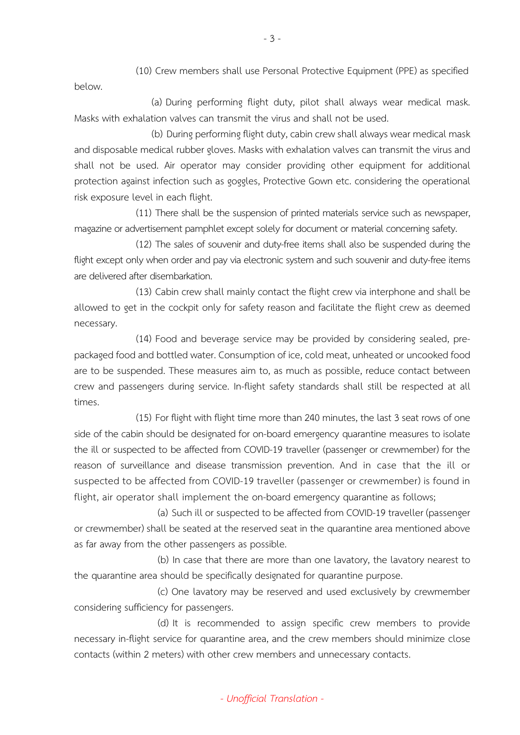(10) Crew members shall use Personal Protective Equipment (PPE) as specified below.

(a) During performing flight duty, pilot shall always wear medical mask. Masks with exhalation valves can transmit the virus and shall not be used.

(b) During performing flight duty, cabin crew shall always wear medical mask and disposable medical rubber gloves. Masks with exhalation valves can transmit the virus and shall not be used. Air operator may consider providing other equipment for additional protection against infection such as goggles, Protective Gown etc. considering the operational risk exposure level in each flight.

(11) There shall be the suspension of printed materials service such as newspaper, magazine or advertisement pamphlet except solely for document or material concerning safety.

(12) The sales of souvenir and duty-free items shall also be suspended during the flight except only when order and pay via electronic system and such souvenir and duty-free items are delivered after disembarkation.

(13) Cabin crew shall mainly contact the flight crew via interphone and shall be allowed to get in the cockpit only for safety reason and facilitate the flight crew as deemed necessary.

(14) Food and beverage service may be provided by considering sealed, prepackaged food and bottled water. Consumption of ice, cold meat, unheated or uncooked food are to be suspended. These measures aim to, as much as possible, reduce contact between crew and passengers during service. In-flight safety standards shall still be respected at all times.

(15) For flight with flight time more than 240 minutes, the last 3 seat rows of one side of the cabin should be designated for on-board emergency quarantine measures to isolate the ill or suspected to be affected from COVID-19 traveller (passenger or crewmember) for the reason of surveillance and disease transmission prevention. And in case that the ill or suspected to be affected from COVID-19 traveller (passenger or crewmember) is found in flight, air operator shall implement the on-board emergency quarantine as follows;

(a) Such ill or suspected to be affected from COVID-19 traveller (passenger or crewmember) shall be seated at the reserved seat in the quarantine area mentioned above as far away from the other passengers as possible.

(b) In case that there are more than one lavatory, the lavatory nearest to the quarantine area should be specifically designated for quarantine purpose.

(c) One lavatory may be reserved and used exclusively by crewmember considering sufficiency for passengers.

(d) It is recommended to assign specific crew members to provide necessary in-flight service for quarantine area, and the crew members should minimize close contacts (within 2 meters) with other crew members and unnecessary contacts.

- 3 -

*- Unofficial Translation -*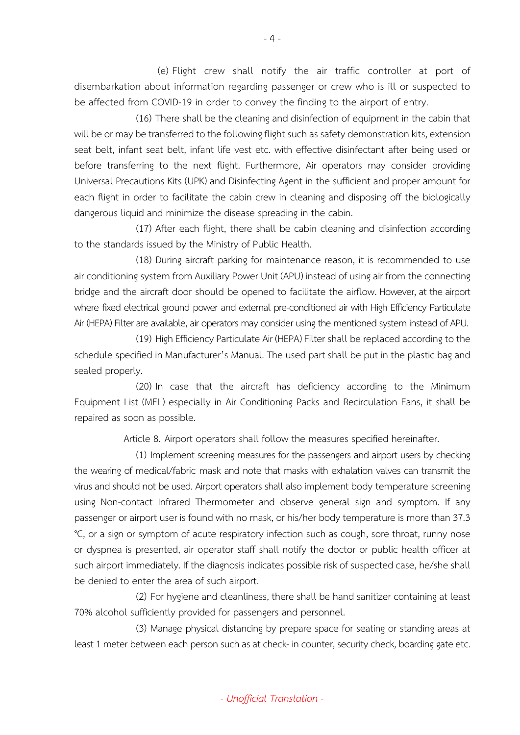(e) Flight crew shall notify the air traffic controller at port of disembarkation about information regarding passenger or crew who is ill or suspected to be affected from COVID-19 in order to convey the finding to the airport of entry.

(16) There shall be the cleaning and disinfection of equipment in the cabin that will be or may be transferred to the following flight such as safety demonstration kits, extension seat belt, infant seat belt, infant life vest etc. with effective disinfectant after being used or before transferring to the next flight. Furthermore, Air operators may consider providing Universal Precautions Kits (UPK) and Disinfecting Agent in the sufficient and proper amount for each flight in order to facilitate the cabin crew in cleaning and disposing off the biologically dangerous liquid and minimize the disease spreading in the cabin.

(17) After each flight, there shall be cabin cleaning and disinfection according to the standards issued by the Ministry of Public Health.

(18) During aircraft parking for maintenance reason, it is recommended to use air conditioning system from Auxiliary Power Unit (APU) instead of using air from the connecting bridge and the aircraft door should be opened to facilitate the airflow. However, at the airport where fixed electrical ground power and external pre-conditioned air with High Efficiency Particulate Air (HEPA) Filter are available, air operators may consider using the mentioned system instead of APU.

(19) High Efficiency Particulate Air (HEPA) Filter shall be replaced according to the schedule specified in Manufacturer's Manual. The used part shall be put in the plastic bag and sealed properly.

(20) In case that the aircraft has deficiency according to the Minimum Equipment List (MEL) especially in Air Conditioning Packs and Recirculation Fans, it shall be repaired as soon as possible.

Article 8. Airport operators shall follow the measures specified hereinafter.

(1) Implement screening measures for the passengers and airport users by checking the wearing of medical/fabric mask and note that masks with exhalation valves can transmit the virus and should not be used. Airport operators shall also implement body temperature screening using Non-contact Infrared Thermometer and observe general sign and symptom. If any passenger or airport user is found with no mask, or his/her body temperature is more than 37.3 °C, or a sign or symptom of acute respiratory infection such as cough, sore throat, runny nose or dyspnea is presented, air operator staff shall notify the doctor or public health officer at such airport immediately. If the diagnosis indicates possible risk of suspected case, he/she shall be denied to enter the area of such airport.

(2) For hygiene and cleanliness, there shall be hand sanitizer containing at least 70% alcohol sufficiently provided for passengers and personnel.

(3) Manage physical distancing by prepare space for seating or standing areas at least 1 meter between each person such as at check- in counter, security check, boarding gate etc.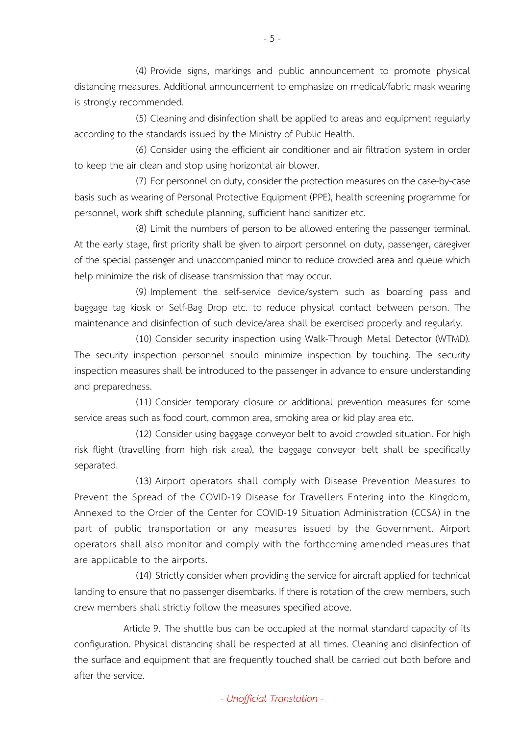(4) Provide signs, markings and public announcement to promote physical distancing measures. Additional announcement to emphasize on medical/fabric mask wearing is strongly recommended.

(5) Cleaning and disinfection shall be applied to areas and equipment regularly according to the standards issued by the Ministry of Public Health.

(6) Consider using the efficient air conditioner and air filtration system in order to keep the air clean and stop using horizontal air blower.

(7) For personnel on duty, consider the protection measures on the case-by-case basis such as wearing of Personal Protective Equipment (PPE), health screening programme for personnel, work shift schedule planning, sufficient hand sanitizer etc.

(8) Limit the numbers of person to be allowed entering the passenger terminal. At the early stage, first priority shall be given to airport personnel on duty, passenger, caregiver of the special passenger and unaccompanied minor to reduce crowded area and queue which help minimize the risk of disease transmission that may occur.

(9) Implement the self-service device/system such as boarding pass and baggage tag kiosk or Self-Bag Drop etc. to reduce physical contact between person. The maintenance and disinfection of such device/area shall be exercised properly and regularly.

(10) Consider security inspection using Walk-Through Metal Detector (WTMD). The security inspection personnel should minimize inspection by touching. The security inspection measures shall be introduced to the passenger in advance to ensure understanding and preparedness.

(11) Consider temporary closure or additional prevention measures for some service areas such as food court, common area, smoking area or kid play area etc.

(12) Consider using baggage conveyor belt to avoid crowded situation. For high risk flight (travelling from high risk area), the baggage conveyor belt shall be specifically separated.

(13) Airport operators shall comply with Disease Prevention Measures to Prevent the Spread of the COVID-19 Disease for Travellers Entering into the Kingdom, Annexed to the Order of the Center for COVID-19 Situation Administration (CCSA) in the part of public transportation or any measures issued by the Government. Airport operators shall also monitor and comply with the forthcoming amended measures that are applicable to the airports.

(14) Strictly consider when providing the service for aircraft applied for technical landing to ensure that no passenger disembarks. If there is rotation of the crew members, such crew members shall strictly follow the measures specified above.

Article 9. The shuttle bus can be occupied at the normal standard capacity of its configuration. Physical distancing shall be respected at all times. Cleaning and disinfection of the surface and equipment that are frequently touched shall be carried out both before and after the service.

*- Unofficial Translation -*